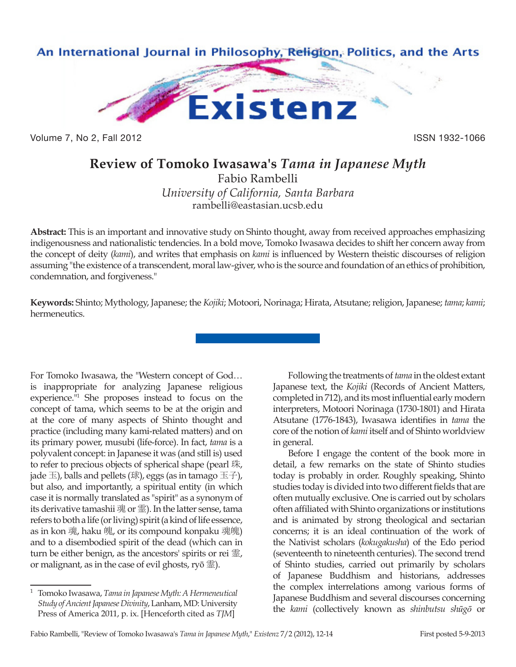

Volume 7, No 2, Fall 2012 **ISSN 1932-1066** 

## **Review of Tomoko Iwasawa's** *Tama in Japanese Myth*

Fabio Rambelli *University of California, Santa Barbara*

rambelli@eastasian.ucsb.edu

**Abstract:** This is an important and innovative study on Shinto thought, away from received approaches emphasizing indigenousness and nationalistic tendencies. In a bold move, Tomoko Iwasawa decides to shift her concern away from the concept of deity (*kami*), and writes that emphasis on *kami* is influenced by Western theistic discourses of religion assuming "the existence of a transcendent, moral law-giver, who is the source and foundation of an ethics of prohibition, condemnation, and forgiveness."

**Keywords:** Shinto; Mythology, Japanese; the *Kojiki*; Motoori, Norinaga; Hirata, Atsutane; religion, Japanese; *tama*; *kami*; hermeneutics.

For Tomoko Iwasawa, the "Western concept of God… is inappropriate for analyzing Japanese religious experience."1 She proposes instead to focus on the concept of tama, which seems to be at the origin and at the core of many aspects of Shinto thought and practice (including many kami-related matters) and on its primary power, musubi (life-force). In fact, *tama* is a polyvalent concept: in Japanese it was (and still is) used to refer to precious objects of spherical shape (pearl 珠, jade  $\pm$ ), balls and pellets (球), eggs (as in tamago  $\pm \mp$ ), but also, and importantly, a spiritual entity (in which case it is normally translated as "spirit" as a synonym of its derivative tamashii 魂 or 霊). In the latter sense, tama refers to both a life (or living) spirit (a kind of life essence, as in kon 魂, haku 魄, or its compound konpaku 魂魄) and to a disembodied spirit of the dead (which can in turn be either benign, as the ancestors' spirits or rei 霊, or malignant, as in the case of evil ghosts, ryō 霊).

Following the treatments of *tama* in the oldest extant Japanese text, the *Kojiki* (Records of Ancient Matters, completed in 712), and its most influential early modern interpreters, Motoori Norinaga (1730-1801) and Hirata Atsutane (1776-1843), Iwasawa identifies in *tama* the core of the notion of *kami* itself and of Shinto worldview in general.

Before I engage the content of the book more in detail, a few remarks on the state of Shinto studies today is probably in order. Roughly speaking, Shinto studies today is divided into two different fields that are often mutually exclusive. One is carried out by scholars often affiliated with Shinto organizations or institutions and is animated by strong theological and sectarian concerns; it is an ideal continuation of the work of the Nativist scholars (*kokugakusha*) of the Edo period (seventeenth to nineteenth centuries). The second trend of Shinto studies, carried out primarily by scholars of Japanese Buddhism and historians, addresses the complex interrelations among various forms of Japanese Buddhism and several discourses concerning the *kami* (collectively known as *shinbutsu shūgō* or

<sup>1</sup> Tomoko Iwasawa, *Tama in Japanese Myth: A Hermeneutical Study of Ancient Japanese Divinity*, Lanham, MD: University Press of America 2011, p. ix. [Henceforth cited as *TJM*]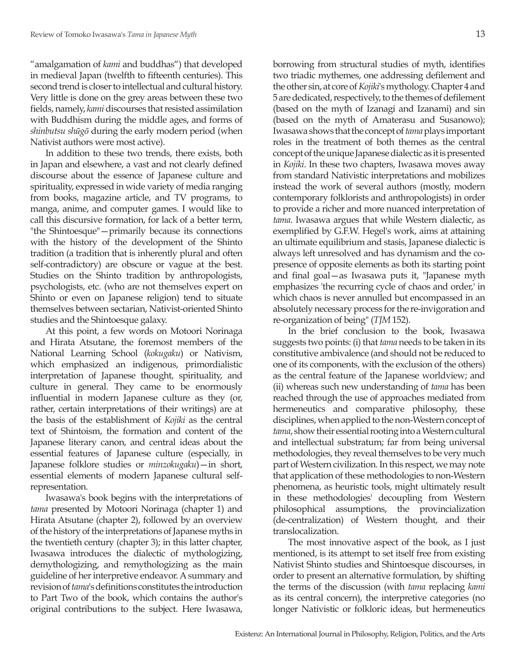"amalgamation of *kami* and buddhas") that developed in medieval Japan (twelfth to fifteenth centuries). This second trend is closer to intellectual and cultural history. Very little is done on the grey areas between these two fields, namely, *kami* discourses that resisted assimilation with Buddhism during the middle ages, and forms of *shinbutsu shūgō* during the early modern period (when Nativist authors were most active).

In addition to these two trends, there exists, both in Japan and elsewhere, a vast and not clearly defined discourse about the essence of Japanese culture and spirituality, expressed in wide variety of media ranging from books, magazine article, and TV programs, to manga, anime, and computer games. I would like to call this discursive formation, for lack of a better term, "the Shintoesque"—primarily because its connections with the history of the development of the Shinto tradition (a tradition that is inherently plural and often self-contradictory) are obscure or vague at the best. Studies on the Shinto tradition by anthropologists, psychologists, etc. (who are not themselves expert on Shinto or even on Japanese religion) tend to situate themselves between sectarian, Nativist-oriented Shinto studies and the Shintoesque galaxy.

At this point, a few words on Motoori Norinaga and Hirata Atsutane, the foremost members of the National Learning School (*kokugaku*) or Nativism, which emphasized an indigenous, primordialistic interpretation of Japanese thought, spirituality, and culture in general. They came to be enormously influential in modern Japanese culture as they (or, rather, certain interpretations of their writings) are at the basis of the establishment of *Kojiki* as the central text of Shintoism, the formation and content of the Japanese literary canon, and central ideas about the essential features of Japanese culture (especially, in Japanese folklore studies or *minzokugaku*)—in short, essential elements of modern Japanese cultural selfrepresentation.

Iwasawa's book begins with the interpretations of *tama* presented by Motoori Norinaga (chapter 1) and Hirata Atsutane (chapter 2), followed by an overview of the history of the interpretations of Japanese myths in the twentieth century (chapter 3); in this latter chapter, Iwasawa introduces the dialectic of mythologizing, demythologizing, and remythologizing as the main guideline of her interpretive endeavor. A summary and revision of *tama*'s definitions constitutes the introduction to Part Two of the book, which contains the author's original contributions to the subject. Here Iwasawa,

borrowing from structural studies of myth, identifies two triadic mythemes, one addressing defilement and the other sin, at core of *Kojiki*'s mythology. Chapter 4 and 5 are dedicated, respectively, to the themes of defilement (based on the myth of Izanagi and Izanami) and sin (based on the myth of Amaterasu and Susanowo); Iwasawa shows that the concept of *tama* plays important roles in the treatment of both themes as the central concept of the unique Japanese dialectic as it is presented in *Kojiki*. In these two chapters, Iwasawa moves away from standard Nativistic interpretations and mobilizes instead the work of several authors (mostly, modern contemporary folklorists and anthropologists) in order to provide a richer and more nuanced interpretation of *tama*. Iwasawa argues that while Western dialectic, as exemplified by G.F.W. Hegel's work, aims at attaining an ultimate equilibrium and stasis, Japanese dialectic is always left unresolved and has dynamism and the copresence of opposite elements as both its starting point and final goal—as Iwasawa puts it, "Japanese myth emphasizes 'the recurring cycle of chaos and order,' in which chaos is never annulled but encompassed in an absolutely necessary process for the re-invigoration and re-organization of being" (*TJM* 152).

In the brief conclusion to the book, Iwasawa suggests two points: (i) that *tama* needs to be taken in its constitutive ambivalence (and should not be reduced to one of its components, with the exclusion of the others) as the central feature of the Japanese worldview; and (ii) whereas such new understanding of *tama* has been reached through the use of approaches mediated from hermeneutics and comparative philosophy, these disciplines, when applied to the non-Western concept of *tama*, show their essential rooting into a Western cultural and intellectual substratum; far from being universal methodologies, they reveal themselves to be very much part of Western civilization. In this respect, we may note that application of these methodologies to non-Western phenomena, as heuristic tools, might ultimately result in these methodologies' decoupling from Western philosophical assumptions, the provincialization (de-centralization) of Western thought, and their translocalization.

The most innovative aspect of the book, as I just mentioned, is its attempt to set itself free from existing Nativist Shinto studies and Shintoesque discourses, in order to present an alternative formulation, by shifting the terms of the discussion (with *tama* replacing *kami* as its central concern), the interpretive categories (no longer Nativistic or folkloric ideas, but hermeneutics